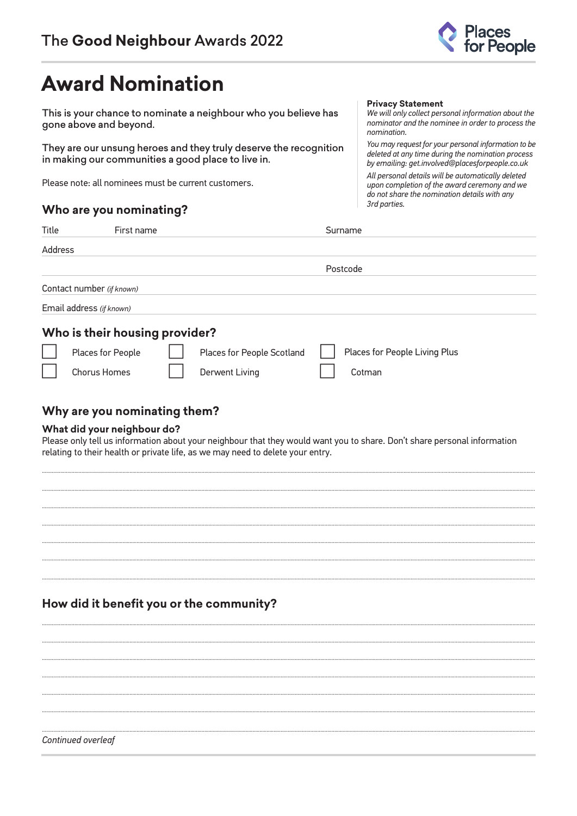

# **Award Nomination**

This is your chance to nominate a neighbour who you believe has gone above and beyond.

They are our unsung heroes and they truly deserve the recognition in making our communities a good place to live in.

Please note: all nominees must be current customers.

## Who are you nominating?

#### **Privacy Statement**

We will only collect personal information about the nominator and the nominee in order to process the nomination.

You may request for your personal information to be deleted at any time during the nomination process by emailing: get.involved@placesforpeople.co.uk All personal details will be automatically deleted upon completion of the award ceremony and we do not share the nomination details with any 3rd parties.

| Title   | First name                     |                            | Surname                       |  |
|---------|--------------------------------|----------------------------|-------------------------------|--|
| Address |                                |                            |                               |  |
|         |                                |                            | Postcode                      |  |
|         | Contact number (if known)      |                            |                               |  |
|         | Email address (if known)       |                            |                               |  |
|         | Who is their housing provider? |                            |                               |  |
|         | Places for People              | Places for People Scotland | Places for People Living Plus |  |
|         | <b>Chorus Homes</b>            | <b>Derwent Living</b>      | Cotman                        |  |
|         |                                |                            |                               |  |

## Why are you nominating them?

### What did your neighbour do?

Please only tell us information about your neighbour that they would want you to share. Don't share personal information relating to their health or private life, as we may need to delete your entry.

## How did it benefit you or the community?